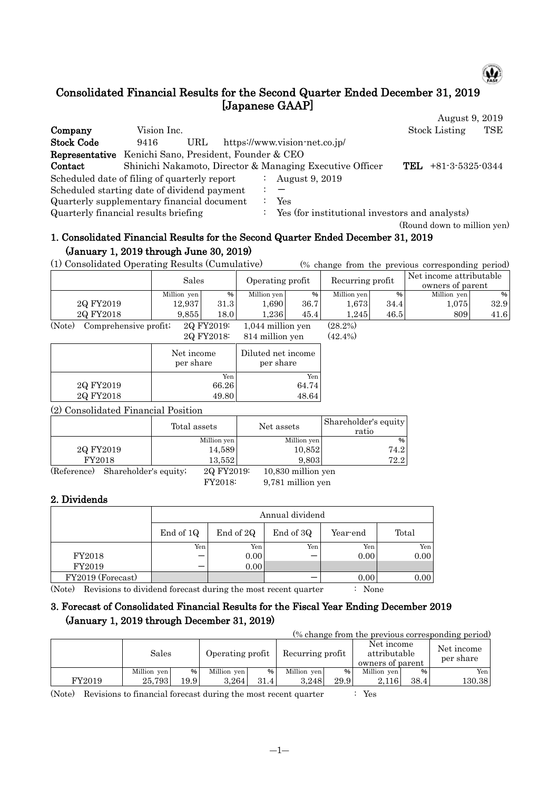

(Round down to million yen)

### Consolidated Financial Results for the Second Quarter Ended December 31, 2019 [Japanese GAAP] August 9, 2019

|                                                              |             |     |               |                                                          | $1105$ $000$ , $010$      |     |
|--------------------------------------------------------------|-------------|-----|---------------|----------------------------------------------------------|---------------------------|-----|
| Company                                                      | Vision Inc. |     |               |                                                          | <b>Stock Listing</b>      | TSE |
| <b>Stock Code</b>                                            | 9416        | URL |               | https://www.vision-net.co.jp/                            |                           |     |
| <b>Representative</b> Kenichi Sano, President, Founder & CEO |             |     |               |                                                          |                           |     |
| Contact                                                      |             |     |               | Shinichi Nakamoto, Director & Managing Executive Officer | $+81-3-5325-0344$<br>TEL. |     |
| Scheduled date of filing of quarterly report                 |             |     |               | August 9, 2019                                           |                           |     |
| Scheduled starting date of dividend payment                  |             |     |               |                                                          |                           |     |
| Quarterly supplementary financial document                   |             |     |               | Yes                                                      |                           |     |
| Quarterly financial results briefing                         |             |     | $\mathcal{L}$ | Yes (for institutional investors and analysts)           |                           |     |

# 1. Consolidated Financial Results for the Second Quarter Ended December 31, 2019 (January 1, 2019 through June 30, 2019)

(1) Consolidated Operating Results (Cumulative) (% change from the previous corresponding period)

|                      | Sales       |                  | Operating profit  |      | Recurring profit                   |      | Net income attributable<br>owners of parent |      |
|----------------------|-------------|------------------|-------------------|------|------------------------------------|------|---------------------------------------------|------|
|                      | Million yen | %                | Million yen       | %    | Million yen                        | %    | Million yen                                 | %।   |
| 2Q FY2019            | 12.937      | 31.3             | .690 <sup>1</sup> | 36.7 | 1.673                              | 34.4 | 1.075                                       | 32.9 |
| 20 FY2018            | 9.855       | 18.0             | .236              | 45.4 | .245                               | 46.5 | 809                                         | 41.6 |
| $\sqrt{2}$<br>$\sim$ | $\sim$      | . . <del>.</del> | .<br>.            |      | $\sim$ $\sim$ $\sim$ $\sim$ $\sim$ |      |                                             |      |

(Note) Comprehensive profit;  $2Q FY2019$ :  $1,044$  million yen (28.2%)<br> $2Q FY2018$ :  $814$  million yen (42.4%)  $814$  million yen  $(42.4\%)$ 

|           |                         | $-9.11$                         |
|-----------|-------------------------|---------------------------------|
|           | Net income<br>per share | Diluted net income<br>per share |
|           | Yen                     | Yen                             |
| 2Q FY2019 | 66.26                   | 64.74                           |
| 2Q FY2018 | 49.80                   | 48.64                           |
|           |                         |                                 |

(2) Consolidated Financial Position

|             |                       | Total assets | Net assets |                    | Shareholder's equity<br>ratio |  |
|-------------|-----------------------|--------------|------------|--------------------|-------------------------------|--|
|             |                       | Million yen  |            | Million yen        | %                             |  |
| 2Q FY2019   |                       | 14,589       |            | 10,852             | 74.2                          |  |
| FY2018      |                       | 13,552       |            | 9.803              | 72.2                          |  |
| (Reference) | Shareholder's equity; |              | 2Q FY2019: | 10,830 million yen |                               |  |

FY2018: 9,781 million yen

### 2. Dividends

|                   | Annual dividend |          |       |      |      |  |  |  |  |  |
|-------------------|-----------------|----------|-------|------|------|--|--|--|--|--|
|                   | End of 1Q       | Year-end | Total |      |      |  |  |  |  |  |
|                   | Yen             | Yen      | Yen   | Yen  | Yen  |  |  |  |  |  |
| FY2018            |                 | 0.00     |       | 0.00 | 0.00 |  |  |  |  |  |
| FY2019            |                 | 0.00     |       |      |      |  |  |  |  |  |
| FY2019 (Forecast) |                 |          |       | 0.00 | 0.00 |  |  |  |  |  |

(Note) Revisions to dividend forecast during the most recent quarter : None

# 3. Forecast of Consolidated Financial Results for the Fiscal Year Ending December 2019 (January 1, 2019 through December 31, 2019)

| (% change from the previous corresponding period) |             |      |                  |               |                  |      |                                                |      |                         |  |
|---------------------------------------------------|-------------|------|------------------|---------------|------------------|------|------------------------------------------------|------|-------------------------|--|
|                                                   | Sales       |      | Operating profit |               | Recurring profit |      | Net income<br>attributable<br>owners of parent |      | Net income<br>per share |  |
|                                                   | Million yen | %    | Million yen      | $\frac{9}{6}$ | Million yen      | %    | Million yen                                    | %    | Yen.                    |  |
| FY2019                                            | 25.793      | 19.9 | 3.264            | 31.4          | 3.248            | 29.9 | 2.116                                          | 38.4 | 130.38                  |  |

(Note) Revisions to financial forecast during the most recent quarter : Yes